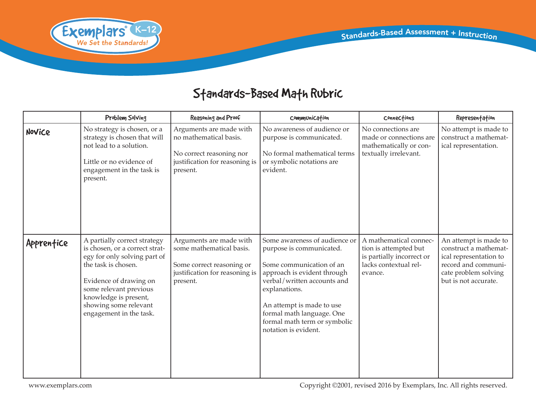

## Standards-Based Math Rubric

|            | Problem Solving                                                                                                                                                                                                                                        | Reasoning and Proof                                                                                                            | Communication                                                                                                                                                                                                                                                                          | Connections                                                                                                      | Representation                                                                                                                                  |
|------------|--------------------------------------------------------------------------------------------------------------------------------------------------------------------------------------------------------------------------------------------------------|--------------------------------------------------------------------------------------------------------------------------------|----------------------------------------------------------------------------------------------------------------------------------------------------------------------------------------------------------------------------------------------------------------------------------------|------------------------------------------------------------------------------------------------------------------|-------------------------------------------------------------------------------------------------------------------------------------------------|
| Novice     | No strategy is chosen, or a<br>strategy is chosen that will<br>not lead to a solution.<br>Little or no evidence of<br>engagement in the task is<br>present.                                                                                            | Arguments are made with<br>no mathematical basis.<br>No correct reasoning nor<br>justification for reasoning is<br>present.    | No awareness of audience or<br>purpose is communicated.<br>No formal mathematical terms<br>or symbolic notations are<br>evident.                                                                                                                                                       | No connections are<br>made or connections are<br>mathematically or con-<br>textually irrelevant.                 | No attempt is made to<br>construct a mathemat-<br>ical representation.                                                                          |
| Apprentice | A partially correct strategy<br>is chosen, or a correct strat-<br>egy for only solving part of<br>the task is chosen.<br>Evidence of drawing on<br>some relevant previous<br>knowledge is present,<br>showing some relevant<br>engagement in the task. | Arguments are made with<br>some mathematical basis.<br>Some correct reasoning or<br>justification for reasoning is<br>present. | Some awareness of audience or<br>purpose is communicated.<br>Some communication of an<br>approach is evident through<br>verbal/written accounts and<br>explanations.<br>An attempt is made to use<br>formal math language. One<br>formal math term or symbolic<br>notation is evident. | A mathematical connec-<br>tion is attempted but<br>is partially incorrect or<br>lacks contextual rel-<br>evance. | An attempt is made to<br>construct a mathemat-<br>ical representation to<br>record and communi-<br>cate problem solving<br>but is not accurate. |